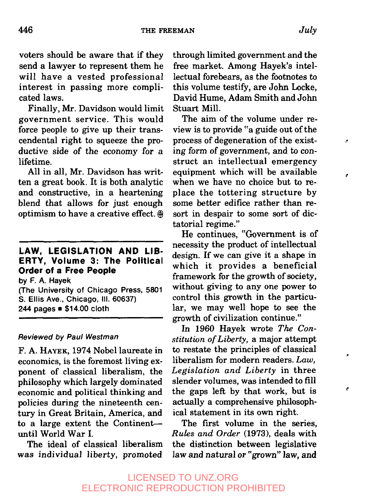voters should be aware that if they send a lawyer to represent them he will have a vested professional interest in passing more complicated laws.

Finally, Mr. Davidson would limit government service. This would force people to give up their transcendental right to squeeze the productive side of the economy for a lifetime.

All in all, Mr. Davidson has written a great book. It is both analytic and constructive, in a heartening blend that allows for just enough optimism to have a creative effect.  $\circledast$ 

## **LAW, LEGISLATION AND LIB-ERTY, Volume 3: The Political Order of a Free People**

**by F. A. Hayek**

**(The University of Chicago Press, 5801 S. Ellis Ave., Chicago, III. 60637) 244 pages ¯\$14.00 cloth**

#### Reviewed by Paul Westman

F. A. HAYEK, 1974 Nobel laureate in economics, is the foremost living exponent of classical liberalism, the philosophy which largely dominated economic and political thinking and policies during the nineteenth century in Great Britain, America, and to a large extent the Continent- until World War I.

The ideal of classical liberalism was individual liberty, promoted

through limited government and the free market. Among Hayek's intellectual forebears, as the footnotes to this volume testify, are John Locke, David Hume, Adam Smith and John Stuart Mill.

The aim of the volume under review is to provide "a guide out of the process of degeneration of the existing form of government, and to *con*struct an intellectual emergency equipment which will be available when we have no choice but to replace the tottering structure by some better edifice rather than resort in despair to some sort of dictatorial regime."

He continues, "Government is of necessity the product of intellectual design. If we can give it a shape in which it provides a beneficial framework for the growth of society, without giving to any one power to control this growth in the particular, we may well hope to see the growth of civilization continue."

In 1960 Hayek wrote *The Constitution of Liberty,* a major attempt to restate the principles of classical liberalism for modern readers. *Law, Legislation and Liberty* in three slender volumes, was intended to fill the gaps left by that work, but is actually a comprehensive philosophical statement in its own right.

The first volume in the series, *Rules and Order* (1973), deals with the distinction between legislative law and natural or "grown" law, and

þ,

÷

ć